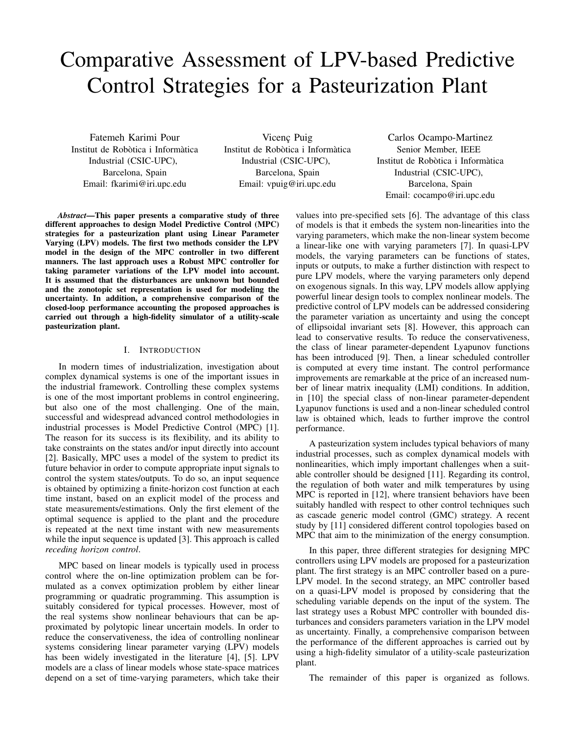# Comparative Assessment of LPV-based Predictive Control Strategies for a Pasteurization Plant

Fatemeh Karimi Pour Institut de Robòtica i Informàtica Industrial (CSIC-UPC), Barcelona, Spain Email: fkarimi@iri.upc.edu

Vicenç Puig Institut de Robòtica i Informàtica Industrial (CSIC-UPC), Barcelona, Spain Email: vpuig@iri.upc.edu

Carlos Ocampo-Martinez Senior Member, IEEE Institut de Robòtica i Informàtica Industrial (CSIC-UPC), Barcelona, Spain Email: cocampo@iri.upc.edu

*Abstract*—This paper presents a comparative study of three different approaches to design Model Predictive Control (MPC) strategies for a pasteurization plant using Linear Parameter Varying (LPV) models. The first two methods consider the LPV model in the design of the MPC controller in two different manners. The last approach uses a Robust MPC controller for taking parameter variations of the LPV model into account. It is assumed that the disturbances are unknown but bounded and the zonotopic set representation is used for modeling the uncertainty. In addition, a comprehensive comparison of the closed-loop performance accounting the proposed approaches is carried out through a high-fidelity simulator of a utility-scale pasteurization plant.

# I. INTRODUCTION

In modern times of industrialization, investigation about complex dynamical systems is one of the important issues in the industrial framework. Controlling these complex systems is one of the most important problems in control engineering, but also one of the most challenging. One of the main, successful and widespread advanced control methodologies in industrial processes is Model Predictive Control (MPC) [1]. The reason for its success is its flexibility, and its ability to take constraints on the states and/or input directly into account [2]. Basically, MPC uses a model of the system to predict its future behavior in order to compute appropriate input signals to control the system states/outputs. To do so, an input sequence is obtained by optimizing a finite-horizon cost function at each time instant, based on an explicit model of the process and state measurements/estimations. Only the first element of the optimal sequence is applied to the plant and the procedure is repeated at the next time instant with new measurements while the input sequence is updated [3]. This approach is called *receding horizon control*.

MPC based on linear models is typically used in process control where the on-line optimization problem can be formulated as a convex optimization problem by either linear programming or quadratic programming. This assumption is suitably considered for typical processes. However, most of the real systems show nonlinear behaviours that can be approximated by polytopic linear uncertain models. In order to reduce the conservativeness, the idea of controlling nonlinear systems considering linear parameter varying (LPV) models has been widely investigated in the literature [4], [5]. LPV models are a class of linear models whose state-space matrices depend on a set of time-varying parameters, which take their

values into pre-specified sets [6]. The advantage of this class of models is that it embeds the system non-linearities into the varying parameters, which make the non-linear system become a linear-like one with varying parameters [7]. In quasi-LPV models, the varying parameters can be functions of states, inputs or outputs, to make a further distinction with respect to pure LPV models, where the varying parameters only depend on exogenous signals. In this way, LPV models allow applying powerful linear design tools to complex nonlinear models. The predictive control of LPV models can be addressed considering the parameter variation as uncertainty and using the concept of ellipsoidal invariant sets [8]. However, this approach can lead to conservative results. To reduce the conservativeness, the class of linear parameter-dependent Lyapunov functions has been introduced [9]. Then, a linear scheduled controller is computed at every time instant. The control performance improvements are remarkable at the price of an increased number of linear matrix inequality (LMI) conditions. In addition, in [10] the special class of non-linear parameter-dependent Lyapunov functions is used and a non-linear scheduled control law is obtained which, leads to further improve the control performance.

A pasteurization system includes typical behaviors of many industrial processes, such as complex dynamical models with nonlinearities, which imply important challenges when a suitable controller should be designed [11]. Regarding its control, the regulation of both water and milk temperatures by using MPC is reported in [12], where transient behaviors have been suitably handled with respect to other control techniques such as cascade generic model control (GMC) strategy. A recent study by [11] considered different control topologies based on MPC that aim to the minimization of the energy consumption.

In this paper, three different strategies for designing MPC controllers using LPV models are proposed for a pasteurization plant. The first strategy is an MPC controller based on a pure-LPV model. In the second strategy, an MPC controller based on a quasi-LPV model is proposed by considering that the scheduling variable depends on the input of the system. The last strategy uses a Robust MPC controller with bounded disturbances and considers parameters variation in the LPV model as uncertainty. Finally, a comprehensive comparison between the performance of the different approaches is carried out by using a high-fidelity simulator of a utility-scale pasteurization plant.

The remainder of this paper is organized as follows.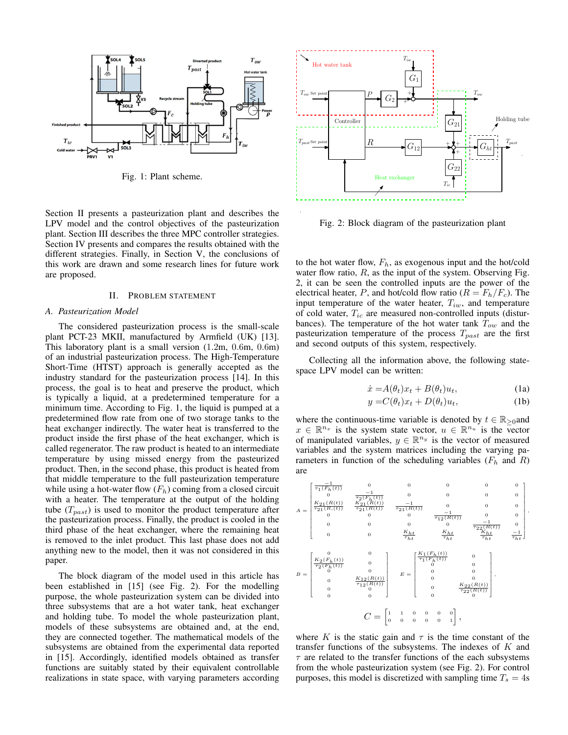

Fig. 1: Plant scheme.

Section II presents a pasteurization plant and describes the LPV model and the control objectives of the pasteurization plant. Section III describes the three MPC controller strategies. Section IV presents and compares the results obtained with the different strategies. Finally, in Section V, the conclusions of this work are drawn and some research lines for future work are proposed.

### II. PROBLEM STATEMENT

# *A. Pasteurization Model*

The considered pasteurization process is the small-scale plant PCT-23 MKII, manufactured by Armfield (UK) [13]. This laboratory plant is a small version (1.2m, 0.6m, 0.6m) of an industrial pasteurization process. The High-Temperature Short-Time (HTST) approach is generally accepted as the industry standard for the pasteurization process [14]. In this process, the goal is to heat and preserve the product, which is typically a liquid, at a predetermined temperature for a minimum time. According to Fig. 1, the liquid is pumped at a predetermined flow rate from one of two storage tanks to the heat exchanger indirectly. The water heat is transferred to the product inside the first phase of the heat exchanger, which is called regenerator. The raw product is heated to an intermediate temperature by using missed energy from the pasteurized product. Then, in the second phase, this product is heated from that middle temperature to the full pasteurization temperature while using a hot-water flow  $(F_h)$  coming from a closed circuit with a heater. The temperature at the output of the holding tube  $(T_{past})$  is used to monitor the product temperature after the pasteurization process. Finally, the product is cooled in the third phase of the heat exchanger, where the remaining heat is removed to the inlet product. This last phase does not add anything new to the model, then it was not considered in this paper.

The block diagram of the model used in this article has been established in [15] (see Fig. 2). For the modelling purpose, the whole pasteurization system can be divided into three subsystems that are a hot water tank, heat exchanger and holding tube. To model the whole pasteurization plant, models of these subsystems are obtained and, at the end, they are connected together. The mathematical models of the subsystems are obtained from the experimental data reported in [15]. Accordingly, identified models obtained as transfer functions are suitably stated by their equivalent controllable realizations in state space, with varying parameters according



Fig. 2: Block diagram of the pasteurization plant

to the hot water flow,  $F_h$ , as exogenous input and the hot/cold water flow ratio,  $R$ , as the input of the system. Observing Fig. 2, it can be seen the controlled inputs are the power of the electrical heater, P, and hot/cold flow ratio ( $R = F_h/F_c$ ). The input temperature of the water heater,  $T_{iw}$ , and temperature of cold water,  $T_{ic}$  are measured non-controlled inputs (disturbances). The temperature of the hot water tank  $T_{ow}$  and the pasteurization temperature of the process  $T_{past}$  are the first and second outputs of this system, respectively.

Collecting all the information above, the following statespace LPV model can be written:

$$
\dot{x} = A(\theta_t)x_t + B(\theta_t)u_t, \qquad (1a)
$$

$$
y = C(\theta_t)x_t + D(\theta_t)u_t, \qquad (1b)
$$

where the continuous-time variable is denoted by  $t \in \mathbb{R}_{\geq 0}$  and  $x \in \mathbb{R}^{n_x}$  is the system state vector,  $u \in \mathbb{R}^{n_u}$  is the vector of manipulated variables,  $y \in \mathbb{R}^{n_y}$  is the vector of measured variables and the system matrices including the varying parameters in function of the scheduling variables  $(F_h$  and  $R)$ are



where K is the static gain and  $\tau$  is the time constant of the transfer functions of the subsystems. The indexes of  $K$  and  $\tau$  are related to the transfer functions of the each subsystems from the whole pasteurization system (see Fig. 2). For control purposes, this model is discretized with sampling time  $T_s = 4s$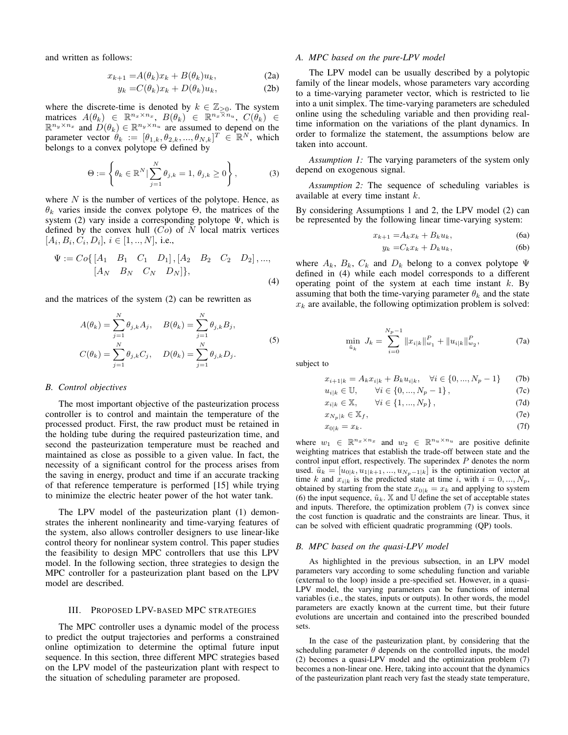and written as follows:

$$
x_{k+1} = A(\theta_k)x_k + B(\theta_k)u_k, \tag{2a}
$$

$$
y_k = C(\theta_k)x_k + D(\theta_k)u_k, \qquad (2b)
$$

where the discrete-time is denoted by  $k \in \mathbb{Z}_{\geq 0}$ . The system matrices  $A(\theta_k) \in \mathbb{R}^{n_x \times n_x}$ ,  $B(\theta_k) \in \mathbb{R}^{n_x \times n_u}$ ,  $C(\theta_k) \in$  $\mathbb{R}^{n_y \times n_x}$  and  $D(\theta_k) \in \mathbb{R}^{n_y \times n_u}$  are assumed to depend on the parameter vector  $\theta_k := [\theta_{1,k}, \theta_{2,k}, ..., \theta_{N,k}]^T \in \mathbb{R}^N$ , which belongs to a convex polytope Θ defined by

$$
\Theta := \left\{ \theta_k \in \mathbb{R}^N \mid \sum_{j=1}^N \theta_{j,k} = 1, \, \theta_{j,k} \ge 0 \right\},\tag{3}
$$

where  $N$  is the number of vertices of the polytope. Hence, as  $\theta_k$  varies inside the convex polytope  $\Theta$ , the matrices of the system (2) vary inside a corresponding polytope  $\Psi$ , which is defined by the convex hull  $(Co)$  of N local matrix vertices  $[A_i, B_i, C_i, D_i], i \in [1, ..., N],$  i.e.,

$$
\Psi := Co\{ \begin{bmatrix} A_1 & B_1 & C_1 & D_1 \end{bmatrix}, \begin{bmatrix} A_2 & B_2 & C_2 & D_2 \end{bmatrix}, \dots, \\ \begin{bmatrix} A_N & B_N & C_N & D_N \end{bmatrix}, \tag{4}
$$

and the matrices of the system (2) can be rewritten as

$$
A(\theta_k) = \sum_{j=1}^{N} \theta_{j,k} A_j, \quad B(\theta_k) = \sum_{j=1}^{N} \theta_{j,k} B_j,
$$
  

$$
C(\theta_k) = \sum_{j=1}^{N} \theta_{j,k} C_j, \quad D(\theta_k) = \sum_{j=1}^{N} \theta_{j,k} D_j.
$$
 (5)

## *B. Control objectives*

The most important objective of the pasteurization process controller is to control and maintain the temperature of the processed product. First, the raw product must be retained in the holding tube during the required pasteurization time, and second the pasteurization temperature must be reached and maintained as close as possible to a given value. In fact, the necessity of a significant control for the process arises from the saving in energy, product and time if an accurate tracking of that reference temperature is performed [15] while trying to minimize the electric heater power of the hot water tank.

The LPV model of the pasteurization plant (1) demonstrates the inherent nonlinearity and time-varying features of the system, also allows controller designers to use linear-like control theory for nonlinear system control. This paper studies the feasibility to design MPC controllers that use this LPV model. In the following section, three strategies to design the MPC controller for a pasteurization plant based on the LPV model are described.

# III. PROPOSED LPV-BASED MPC STRATEGIES

The MPC controller uses a dynamic model of the process to predict the output trajectories and performs a constrained online optimization to determine the optimal future input sequence. In this section, three different MPC strategies based on the LPV model of the pasteurization plant with respect to the situation of scheduling parameter are proposed.

# *A. MPC based on the pure-LPV model*

The LPV model can be usually described by a polytopic family of the linear models, whose parameters vary according to a time-varying parameter vector, which is restricted to lie into a unit simplex. The time-varying parameters are scheduled online using the scheduling variable and then providing realtime information on the variations of the plant dynamics. In order to formalize the statement, the assumptions below are taken into account.

*Assumption 1:* The varying parameters of the system only depend on exogenous signal.

*Assumption 2:* The sequence of scheduling variables is available at every time instant k.

By considering Assumptions 1 and 2, the LPV model (2) can be represented by the following linear time-varying system:

$$
x_{k+1} = A_k x_k + B_k u_k, \tag{6a}
$$

$$
y_k = C_k x_k + D_k u_k, \tag{6b}
$$

where  $A_k$ ,  $B_k$ ,  $C_k$  and  $D_k$  belong to a convex polytope  $\Psi$ defined in (4) while each model corresponds to a different operating point of the system at each time instant  $k$ . By assuming that both the time-varying parameter  $\theta_k$  and the state  $x_k$  are available, the following optimization problem is solved:

$$
\min_{\tilde{u}_k} J_k = \sum_{i=0}^{N_p - 1} ||x_{i|k}||_{w_1}^P + ||u_{i|k}||_{w_2}^P,
$$
\n(7a)

subject to

$$
x_{i+1|k} = A_k x_{i|k} + B_k u_{i|k}, \quad \forall i \in \{0, ..., N_p - 1\} \tag{7b}
$$

$$
u_{i|k} \in \mathbb{U}, \qquad \forall i \in \{0, ..., N_p - 1\}, \tag{7c}
$$

$$
x_{i|k} \in \mathbb{X}, \qquad \forall i \in \{1, ..., N_p\},\tag{7d}
$$

$$
x_{N_p|k} \in \mathbb{X}_f,\tag{7e}
$$

$$
x_{0|k} = x_k. \tag{7f}
$$

where  $w_1 \in \mathbb{R}^{n_x \times n_x}$  and  $w_2 \in \mathbb{R}^{n_u \times n_u}$  are positive definite weighting matrices that establish the trade-off between state and the control input effort, respectively. The superindex  $P$  denotes the norm used.  $\tilde{u}_k = [u_{0|k}, u_{1|k+1}, ..., u_{N_p-1|k}]$  is the optimization vector at time k and  $x_{i|k}$  is the predicted state at time i, with  $i = 0, ..., N_p$ , obtained by starting from the state  $x_{0|k} = x_k$  and applying to system (6) the input sequence,  $\tilde{u}_k$ . X and U define the set of acceptable states and inputs. Therefore, the optimization problem (7) is convex since the cost function is quadratic and the constraints are linear. Thus, it can be solved with efficient quadratic programming (QP) tools.

# *B. MPC based on the quasi-LPV model*

As highlighted in the previous subsection, in an LPV model parameters vary according to some scheduling function and variable (external to the loop) inside a pre-specified set. However, in a quasi-LPV model, the varying parameters can be functions of internal variables (i.e., the states, inputs or outputs). In other words, the model parameters are exactly known at the current time, but their future evolutions are uncertain and contained into the prescribed bounded sets.

In the case of the pasteurization plant, by considering that the scheduling parameter  $\theta$  depends on the controlled inputs, the model (2) becomes a quasi-LPV model and the optimization problem (7) becomes a non-linear one. Here, taking into account that the dynamics of the pasteurization plant reach very fast the steady state temperature,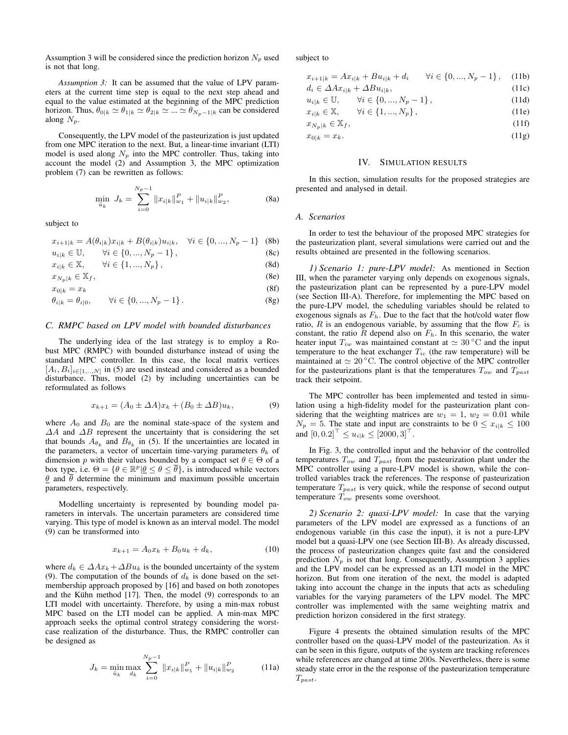Assumption 3 will be considered since the prediction horizon  $N_p$  used is not that long.

*Assumption 3:* It can be assumed that the value of LPV parameters at the current time step is equal to the next step ahead and equal to the value estimated at the beginning of the MPC prediction horizon. Thus,  $\theta_{0|k} \simeq \theta_{1|k} \simeq \theta_{2|k} \simeq ... \simeq \theta_{N_p-1|k}$  can be considered along  $N_p$ .

Consequently, the LPV model of the pasteurization is just updated from one MPC iteration to the next. But, a linear-time invariant (LTI) model is used along  $N_p$  into the MPC controller. Thus, taking into account the model (2) and Assumption 3, the MPC optimization problem (7) can be rewritten as follows:

$$
\min_{\tilde{u}_k} J_k = \sum_{i=0}^{N_p - 1} ||x_{i|k}||_{w_1}^P + ||u_{i|k}||_{w_2}^P,
$$
\n(8a)

subject to

$$
x_{i+1|k} = A(\theta_{i|k})x_{i|k} + B(\theta_{i|k})u_{i|k}, \quad \forall i \in \{0, ..., N_p - 1\} \quad (8b)
$$

$$
u_{i|k} \in \mathbb{U}, \qquad \forall i \in \{0, ..., N_p - 1\}, \tag{8c}
$$

$$
x_{i|k} \in \mathbb{X}, \qquad \forall i \in \{1, ..., N_p\},
$$
\n(8d)

$$
x_{N_p|k} \in \mathbb{X}_f,\tag{8e}
$$

$$
x_{0|k} = x_k \tag{8f}
$$

$$
\theta_{i|k} = \theta_{i|0}, \qquad \forall i \in \{0, ..., N_p - 1\}.
$$
 (8g)

## *C. RMPC based on LPV model with bounded disturbances*

The underlying idea of the last strategy is to employ a Robust MPC (RMPC) with bounded disturbance instead of using the standard MPC controller. In this case, the local matrix vertices  $[A_i, B_i]_{i \in [1, \ldots, N]}$  in (5) are used instead and considered as a bounded disturbance. Thus, model (2) by including uncertainties can be reformulated as follows

$$
x_{k+1} = (A_0 \pm \Delta A)x_k + (B_0 \pm \Delta B)u_k, \tag{9}
$$

where  $A_0$  and  $B_0$  are the nominal state-space of the system and  $\Delta A$  and  $\Delta B$  represent the uncertainty that is considering the set that bounds  $A_{\theta_k}$  and  $B_{\theta_k}$  in (5). If the uncertainties are located in the parameters, a vector of uncertain time-varying parameters  $\theta_k$  of dimension p with their values bounded by a compact set  $\theta \in \Theta$  of a box type, i.e.  $\Theta = \{ \theta \in \mathbb{R}^p | \underline{\theta} \le \theta \le \overline{\theta} \}$ , is introduced while vectors  $\theta$  and  $\bar{\theta}$  determine the minimum and maximum possible uncertain parameters, respectively.

Modelling uncertainty is represented by bounding model parameters in intervals. The uncertain parameters are considered time varying. This type of model is known as an interval model. The model (9) can be transformed into

$$
x_{k+1} = A_0 x_k + B_0 u_k + d_k, \tag{10}
$$

where  $d_k \in \Delta Ax_k + \Delta Bu_k$  is the bounded uncertainty of the system (9). The computation of the bounds of  $d_k$  is done based on the setmembership approach proposed by [16] and based on both zonotopes and the Kühn method  $[17]$ . Then, the model  $(9)$  corresponds to an LTI model with uncertainty. Therefore, by using a min-max robust MPC based on the LTI model can be applied. A min-max MPC approach seeks the optimal control strategy considering the worstcase realization of the disturbance. Thus, the RMPC controller can be designed as

$$
J_k = \min_{\tilde{u}_k} \max_{d_k} \sum_{i=0}^{N_p - 1} \|x_{i|k}\|_{w_1}^P + \|u_{i|k}\|_{w_2}^P \tag{11a}
$$

subject to

| $x_{i+1 k} = Ax_{i k} + Bu_{i k} + d_i \quad \forall i \in \{0, , N_p - 1\},$ (11b) |  |  |
|-------------------------------------------------------------------------------------|--|--|
|-------------------------------------------------------------------------------------|--|--|

$$
d_i \in \Delta A x_{i|k} + \Delta B u_{i|k},\tag{11c}
$$

$$
u_{i|k} \in \mathbb{U}, \qquad \forall i \in \{0, ..., N_p - 1\}, \tag{11d}
$$

$$
x_{i|k} \in \mathbb{X}, \qquad \forall i \in \{1, ..., N_p\}, \tag{11e}
$$

$$
x_{N_p|k} \in \mathbb{X}_f,\tag{11f}
$$

$$
x_{0|k} = x_k. \tag{11g}
$$

#### IV. SIMULATION RESULTS

In this section, simulation results for the proposed strategies are presented and analysed in detail.

#### *A. Scenarios*

In order to test the behaviour of the proposed MPC strategies for the pasteurization plant, several simulations were carried out and the results obtained are presented in the following scenarios.

*1) Scenario 1: pure-LPV model:* As mentioned in Section III, when the parameter varying only depends on exogenous signals, the pasteurization plant can be represented by a pure-LPV model (see Section III-A). Therefore, for implementing the MPC based on the pure-LPV model, the scheduling variables should be related to exogenous signals as  $F<sub>h</sub>$ . Due to the fact that the hot/cold water flow ratio,  $R$  is an endogenous variable, by assuming that the flow  $F_c$  is constant, the ratio R depend also on  $F<sub>h</sub>$ . In this scenario, the water heater input  $T_{iw}$  was maintained constant at  $\simeq 30\degree \text{C}$  and the input temperature to the heat exchanger  $T_{ic}$  (the raw temperature) will be maintained at  $\simeq 20$  °C. The control objective of the MPC controller for the pasteurizations plant is that the temperatures  $T_{ow}$  and  $T_{past}$ track their setpoint.

The MPC controller has been implemented and tested in simulation using a high-fidelity model for the pasteurization plant considering that the weighting matrices are  $w_1 = 1$ ,  $w_2 = 0.01$  while  $N_p = 5$ . The state and input are constraints to be  $0 \leq x_{i|k} \leq 100$ and  $[0, 0.2]^\top \leq u_{i|k} \leq [2000, 3]^\top$ .

In Fig. 3, the controlled input and the behavior of the controlled temperatures  $T_{ow}$  and  $T_{past}$  from the pasteurization plant under the MPC controller using a pure-LPV model is shown, while the controlled variables track the references. The response of pasteurization temperature  $T_{past}$  is very quick, while the response of second output temperature  $T_{ow}$  presents some overshoot.

*2) Scenario 2: quasi-LPV model:* In case that the varying parameters of the LPV model are expressed as a functions of an endogenous variable (in this case the input), it is not a pure-LPV model but a quasi-LPV one (see Section III-B). As already discussed, the process of pasteurization changes quite fast and the considered prediction  $N_p$  is not that long. Consequently, Assumption 3 applies and the LPV model can be expressed as an LTI model in the MPC horizon. But from one iteration of the next, the model is adapted taking into account the change in the inputs that acts as scheduling variables for the varying parameters of the LPV model. The MPC controller was implemented with the same weighting matrix and prediction horizon considered in the first strategy.

Figure 4 presents the obtained simulation results of the MPC controller based on the quasi-LPV model of the pasteurization. As it can be seen in this figure, outputs of the system are tracking references while references are changed at time 200s. Nevertheless, there is some steady state error in the the response of the pasteurization temperature  $T_{past}.$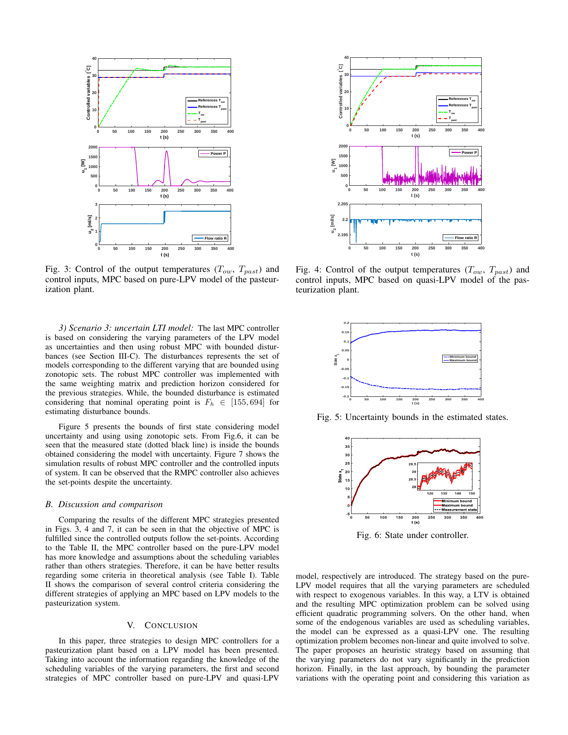

Fig. 3: Control of the output temperatures  $(T_{ow}, T_{past})$  and control inputs, MPC based on pure-LPV model of the pasteurization plant.

*3) Scenario 3: uncertain LTI model:* The last MPC controller is based on considering the varying parameters of the LPV model as uncertainties and then using robust MPC with bounded disturbances (see Section III-C). The disturbances represents the set of models corresponding to the different varying that are bounded using zonotopic sets. The robust MPC controller was implemented with the same weighting matrix and prediction horizon considered for the previous strategies. While, the bounded disturbance is estimated considering that nominal operating point is  $F_h \in [155, 694]$  for estimating disturbance bounds.

Figure 5 presents the bounds of first state considering model uncertainty and using using zonotopic sets. From Fig.6, it can be seen that the measured state (dotted black line) is inside the bounds obtained considering the model with uncertainty. Figure 7 shows the simulation results of robust MPC controller and the controlled inputs of system. It can be observed that the RMPC controller also achieves the set-points despite the uncertainty.

### *B. Discussion and comparison*

Comparing the results of the different MPC strategies presented in Figs. 3, 4 and 7, it can be seen in that the objective of MPC is fulfilled since the controlled outputs follow the set-points. According to the Table II, the MPC controller based on the pure-LPV model has more knowledge and assumptions about the scheduling variables rather than others strategies. Therefore, it can be have better results regarding some criteria in theoretical analysis (see Table I). Table II shows the comparison of several control criteria considering the different strategies of applying an MPC based on LPV models to the pasteurization system.

# V. CONCLUSION

In this paper, three strategies to design MPC controllers for a pasteurization plant based on a LPV model has been presented. Taking into account the information regarding the knowledge of the scheduling variables of the varying parameters, the first and second strategies of MPC controller based on pure-LPV and quasi-LPV



Fig. 4: Control of the output temperatures  $(T_{ow}, T_{past})$  and control inputs, MPC based on quasi-LPV model of the pasteurization plant.



Fig. 5: Uncertainty bounds in the estimated states.



Fig. 6: State under controller.

model, respectively are introduced. The strategy based on the pure-LPV model requires that all the varying parameters are scheduled with respect to exogenous variables. In this way, a LTV is obtained and the resulting MPC optimization problem can be solved using efficient quadratic programming solvers. On the other hand, when some of the endogenous variables are used as scheduling variables, the model can be expressed as a quasi-LPV one. The resulting optimization problem becomes non-linear and quite involved to solve. The paper proposes an heuristic strategy based on assuming that the varying parameters do not vary significantly in the prediction horizon. Finally, in the last approach, by bounding the parameter variations with the operating point and considering this variation as